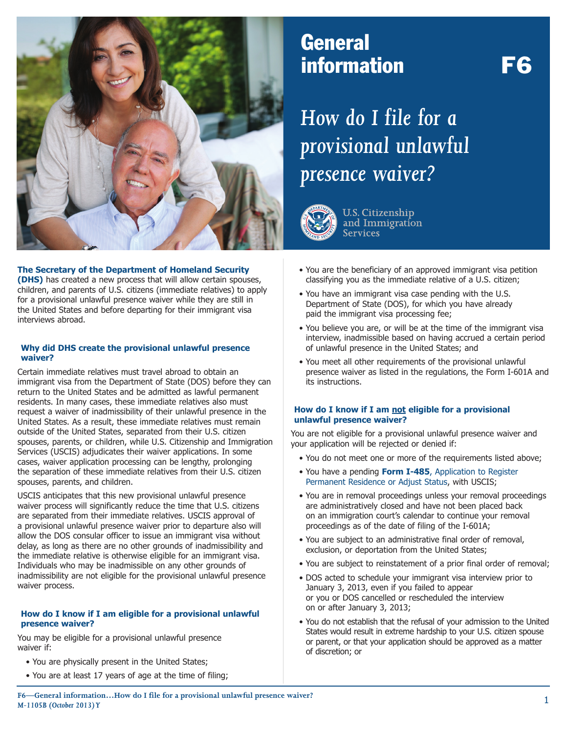

## **General** information F6

# *How do I file for a provisional unlawful presence waiver?*



**U.S. Citizenship** and Immigration **Services** 

#### **The Secretary of the Department of Homeland Security**

**(DHS)** has created a new process that will allow certain spouses, children, and parents of U.S. citizens (immediate relatives) to apply for a provisional unlawful presence waiver while they are still in the United States and before departing for their immigrant visa interviews abroad.

#### **Why did DHS create the provisional unlawful presence waiver?**

Certain immediate relatives must travel abroad to obtain an immigrant visa from the Department of State (DOS) before they can return to the United States and be admitted as lawful permanent residents. In many cases, these immediate relatives also must request a waiver of inadmissibility of their unlawful presence in the United States. As a result, these immediate relatives must remain outside of the United States, separated from their U.S. citizen spouses, parents, or children, while U.S. Citizenship and Immigration Services (USCIS) adjudicates their waiver applications. In some cases, waiver application processing can be lengthy, prolonging the separation of these immediate relatives from their U.S. citizen spouses, parents, and children.

USCIS anticipates that this new provisional unlawful presence waiver process will significantly reduce the time that U.S. citizens are separated from their immediate relatives. USCIS approval of a provisional unlawful presence waiver prior to departure also will allow the DOS consular officer to issue an immigrant visa without delay, as long as there are no other grounds of inadmissibility and the immediate relative is otherwise eligible for an immigrant visa. Individuals who may be inadmissible on any other grounds of inadmissibility are not eligible for the provisional unlawful presence waiver process.

#### **How do I know if I am eligible for a provisional unlawful presence waiver?**

You may be eligible for a provisional unlawful presence waiver if:

- You are physically present in the United States;
- You are at least 17 years of age at the time of filing;
- You are the beneficiary of an approved immigrant visa petition classifying you as the immediate relative of a U.S. citizen;
- You have an immigrant visa case pending with the U.S. Department of State (DOS), for which you have already paid the immigrant visa processing fee;
- You believe you are, or will be at the time of the immigrant visa interview, inadmissible based on having accrued a certain period of unlawful presence in the United States; and
- You meet all other requirements of the provisional unlawful presence waiver as listed in the regulations, the Form I-601A and its instructions.

#### **How do I know if I am not eligible for a provisional unlawful presence waiver?**

You are not eligible for a provisional unlawful presence waiver and your application will be rejected or denied if:

- You do not meet one or more of the requirements listed above;
- You have a pending **Form I-485**, Application to Register Permanent Residence or Adjust Status, with USCIS;
- You are in removal proceedings unless your removal proceedings are administratively closed and have not been placed back on an immigration court's calendar to continue your removal proceedings as of the date of filing of the I-601A;
- You are subject to an administrative final order of removal, exclusion, or deportation from the United States;
- You are subject to reinstatement of a prior final order of removal;
- DOS acted to schedule your immigrant visa interview prior to January 3, 2013, even if you failed to appear or you or DOS cancelled or rescheduled the interview on or after January 3, 2013;
- You do not establish that the refusal of your admission to the United States would result in extreme hardship to your U.S. citizen spouse or parent, or that your application should be approved as a matter of discretion; or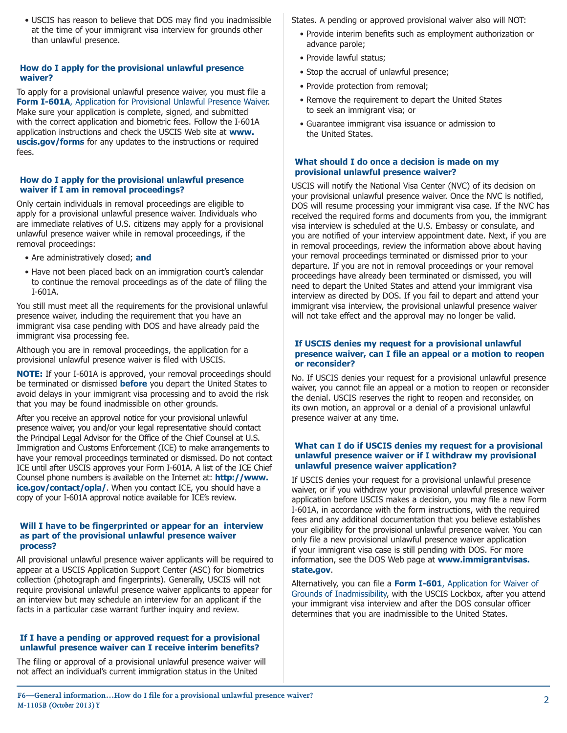• USCIS has reason to believe that DOS may find you inadmissible at the time of your immigrant visa interview for grounds other than unlawful presence.

#### **How do I apply for the provisional unlawful presence waiver?**

To apply for a provisional unlawful presence waiver, you must file a **Form I-601A**, Application for Provisional Unlawful Presence Waiver. Make sure your application is complete, signed, and submitted with the correct application and biometric fees. Follow the I-601A application instructions and check the USCIS Web site at **www. uscis.gov/forms** for any updates to the instructions or required  $f_{\text{PAC}}$ 

#### **How do I apply for the provisional unlawful presence waiver if I am in removal proceedings?**

Only certain individuals in removal proceedings are eligible to apply for a provisional unlawful presence waiver. Individuals who are immediate relatives of U.S. citizens may apply for a provisional unlawful presence waiver while in removal proceedings, if the removal proceedings:

- Are administratively closed; **and**
- Have not been placed back on an immigration court's calendar to continue the removal proceedings as of the date of filing the I-601A.

You still must meet all the requirements for the provisional unlawful presence waiver, including the requirement that you have an immigrant visa case pending with DOS and have already paid the immigrant visa processing fee.

Although you are in removal proceedings, the application for a provisional unlawful presence waiver is filed with USCIS.

**NOTE:** If your I-601A is approved, your removal proceedings should be terminated or dismissed **before** you depart the United States to avoid delays in your immigrant visa processing and to avoid the risk that you may be found inadmissible on other grounds.

After you receive an approval notice for your provisional unlawful presence waiver, you and/or your legal representative should contact the Principal Legal Advisor for the Office of the Chief Counsel at U.S. Immigration and Customs Enforcement (ICE) to make arrangements to have your removal proceedings terminated or dismissed. Do not contact ICE until after USCIS approves your Form I-601A. A list of the ICE Chief Counsel phone numbers is available on the Internet at: **http://www. ice.gov/contact/opla/.** When you contact ICE, you should have a copy of your I-601A approval notice available for ICE's review.

#### **Will I have to be fingerprinted or appear for an interview as part of the provisional unlawful presence waiver process?**

All provisional unlawful presence waiver applicants will be required to appear at a USCIS Application Support Center (ASC) for biometrics collection (photograph and fingerprints). Generally, USCIS will not require provisional unlawful presence waiver applicants to appear for an interview but may schedule an interview for an applicant if the facts in a particular case warrant further inquiry and review.

#### **If I have a pending or approved request for a provisional unlawful presence waiver can I receive interim benefits?**

The filing or approval of a provisional unlawful presence waiver will not affect an individual's current immigration status in the United

States. A pending or approved provisional waiver also will NOT:

- Provide interim benefits such as employment authorization or advance parole;
- Provide lawful status;
- Stop the accrual of unlawful presence;
- Provide protection from removal;
- Remove the requirement to depart the United States to seek an immigrant visa; or
- Guarantee immigrant visa issuance or admission to the United States.

#### **What should I do once a decision is made on my provisional unlawful presence waiver?**

USCIS will notify the National Visa Center (NVC) of its decision on your provisional unlawful presence waiver. Once the NVC is notified, DOS will resume processing your immigrant visa case. If the NVC has received the required forms and documents from you, the immigrant visa interview is scheduled at the U.S. Embassy or consulate, and you are notified of your interview appointment date. Next, if you are in removal proceedings, review the information above about having your removal proceedings terminated or dismissed prior to your departure. If you are not in removal proceedings or your removal proceedings have already been terminated or dismissed, you will need to depart the United States and attend your immigrant visa interview as directed by DOS. If you fail to depart and attend your immigrant visa interview, the provisional unlawful presence waiver will not take effect and the approval may no longer be valid.

#### **If USCIS denies my request for a provisional unlawful presence waiver, can I file an appeal or a motion to reopen or reconsider?**

No. If USCIS denies your request for a provisional unlawful presence waiver, you cannot file an appeal or a motion to reopen or reconsider the denial. USCIS reserves the right to reopen and reconsider, on its own motion, an approval or a denial of a provisional unlawful presence waiver at any time.

#### **What can I do if USCIS denies my request for a provisional unlawful presence waiver or if I withdraw my provisional unlawful presence waiver application?**

If USCIS denies your request for a provisional unlawful presence waiver, or if you withdraw your provisional unlawful presence waiver application before USCIS makes a decision, you may file a new Form I-601A, in accordance with the form instructions, with the required fees and any additional documentation that you believe establishes your eligibility for the provisional unlawful presence waiver. You can only file a new provisional unlawful presence waiver application if your immigrant visa case is still pending with DOS. For more information, see the DOS Web page at **www.immigrantvisas. state.gov**.

Alternatively, you can file a **Form I-601**, Application for Waiver of Grounds of Inadmissibility, with the USCIS Lockbox, after you attend your immigrant visa interview and after the DOS consular officer determines that you are inadmissible to the United States.